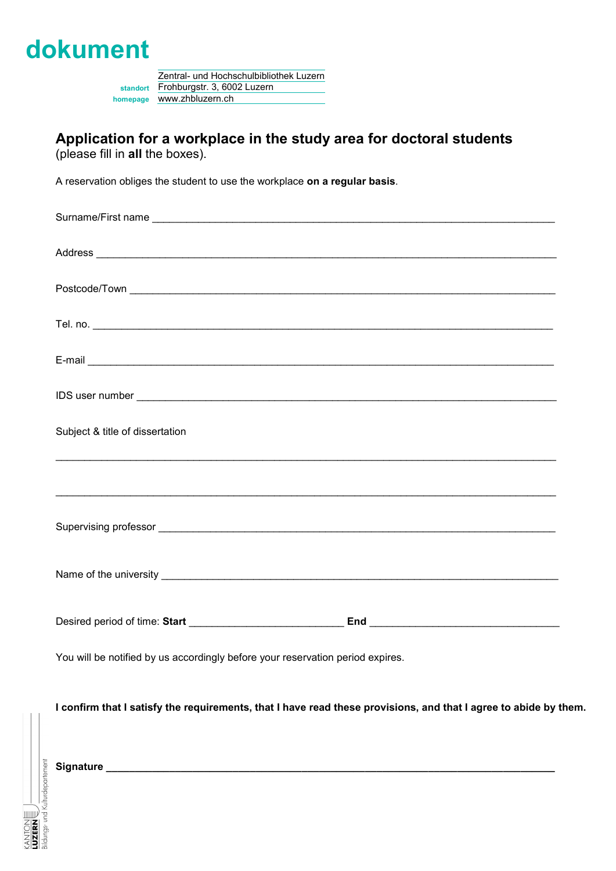

Zentral- und Hochschulbibliothek Luzern **standort** Frohburgstr. 3, 6002 Luzern **homepage** www.zhbluzern.ch

### **Application for a workplace in the study area for doctoral students** (please fill in **all** the boxes).

A reservation obliges the student to use the workplace **on a regular basis**.

| Address Address Address Address Address Address Address Address Address Address Address Address Address Address Address Address Address Address Address Address Address Address Address Address Address Address Address Addres |
|--------------------------------------------------------------------------------------------------------------------------------------------------------------------------------------------------------------------------------|
|                                                                                                                                                                                                                                |
|                                                                                                                                                                                                                                |
|                                                                                                                                                                                                                                |
|                                                                                                                                                                                                                                |
| Subject & title of dissertation                                                                                                                                                                                                |
| ,我们也不能在这里的时候,我们也不能在这里的时候,我们也不能会在这里,我们也不能会不能会不能会不能会不能会不能会。""我们,我们也不能会不能会不能会不能会不能会                                                                                                                                               |
|                                                                                                                                                                                                                                |
|                                                                                                                                                                                                                                |
|                                                                                                                                                                                                                                |
| You will be notified by us accordingly before your reservation period expires.                                                                                                                                                 |

**I confirm that I satisfy the requirements, that I have read these provisions, and that I agree to abide by them.**

LUZERN $\mathop{\mathbb{E}}\nolimits/\mathop{\mathbb{E}}\nolimits$ aldungs- und Kulturdepartement **Signature \_\_\_\_\_\_\_\_\_\_\_\_\_\_\_\_\_\_\_\_\_\_\_\_\_\_\_\_\_\_\_\_\_\_\_\_\_\_\_\_\_\_\_\_\_\_\_\_\_\_\_\_\_\_\_\_\_\_\_\_\_\_\_\_\_\_\_\_\_\_\_\_\_\_\_\_\_\_**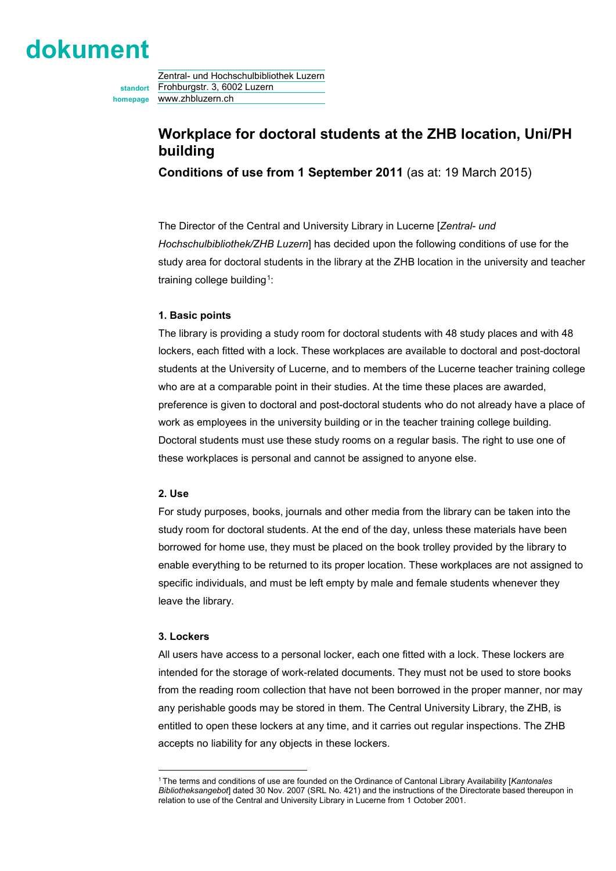# **dokument**

Zentral- und Hochschulbibliothek Luzern **standort** Frohburgstr. 3, 6002 Luzern **homepage** www.zhbluzern.ch

### **Workplace for doctoral students at the ZHB location, Uni/PH building**

**Conditions of use from 1 September 2011** (as at: 19 March 2015)

The Director of the Central and University Library in Lucerne [*Zentral- und Hochschulbibliothek/ZHB Luzern*] has decided upon the following conditions of use for the study area for doctoral students in the library at the ZHB location in the university and teacher training college building<sup>1</sup>:

#### **1. Basic points**

The library is providing a study room for doctoral students with 48 study places and with 48 lockers, each fitted with a lock. These workplaces are available to doctoral and post-doctoral students at the University of Lucerne, and to members of the Lucerne teacher training college who are at a comparable point in their studies. At the time these places are awarded, preference is given to doctoral and post-doctoral students who do not already have a place of work as employees in the university building or in the teacher training college building. Doctoral students must use these study rooms on a regular basis. The right to use one of these workplaces is personal and cannot be assigned to anyone else.

#### **2. Use**

For study purposes, books, journals and other media from the library can be taken into the study room for doctoral students. At the end of the day, unless these materials have been borrowed for home use, they must be placed on the book trolley provided by the library to enable everything to be returned to its proper location. These workplaces are not assigned to specific individuals, and must be left empty by male and female students whenever they leave the library.

#### **3. Lockers**

All users have access to a personal locker, each one fitted with a lock. These lockers are intended for the storage of work-related documents. They must not be used to store books from the reading room collection that have not been borrowed in the proper manner, nor may any perishable goods may be stored in them. The Central University Library, the ZHB, is entitled to open these lockers at any time, and it carries out regular inspections. The ZHB accepts no liability for any objects in these lockers.

<span id="page-1-0"></span><sup>-</sup>1 The terms and conditions of use are founded on the Ordinance of Cantonal Library Availability [*Kantonales Bibliotheksangebot*] dated 30 Nov. 2007 (SRL No. 421) and the instructions of the Directorate based thereupon in relation to use of the Central and University Library in Lucerne from 1 October 2001.